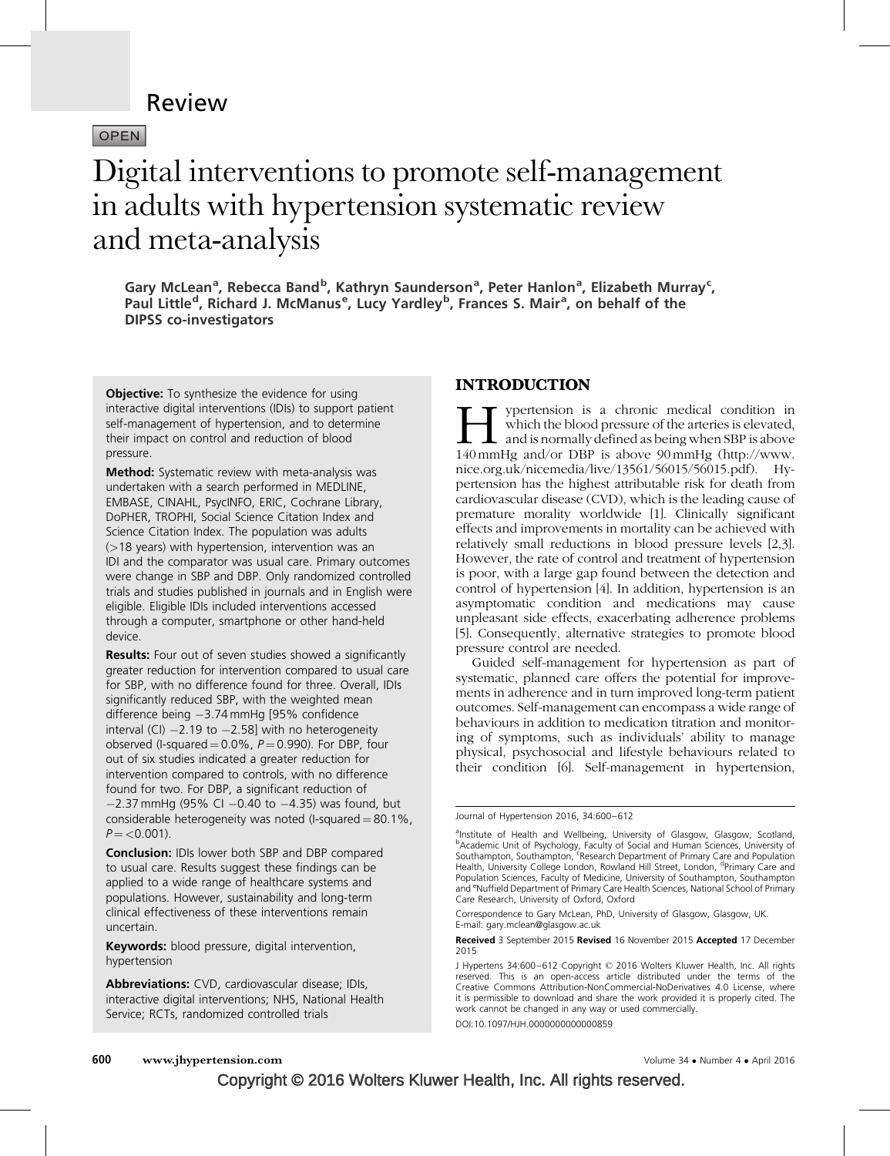## Review

OPEN

# Digital interventions to promote self-management in adults with hypertension systematic review and meta-analysis

Gary McLean<sup>a</sup>, Rebecca Band<sup>b</sup>, Kathryn Saunderson<sup>a</sup>, Peter Hanlon<sup>a</sup>, Elizabeth Murray<sup>c</sup>, Paul Little<sup>d</sup>, Richard J. McManus<sup>e</sup>, Lucy Yardley<sup>b</sup>, Frances S. Mair<sup>a</sup>, on behalf of the DIPSS co-investigators

**Objective:** To synthesize the evidence for using interactive digital interventions (IDIs) to support patient self-management of hypertension, and to determine their impact on control and reduction of blood pressure.

Method: Systematic review with meta-analysis was undertaken with a search performed in MEDLINE, EMBASE, CINAHL, PsycINFO, ERIC, Cochrane Library, DoPHER, TROPHI, Social Science Citation Index and Science Citation Index. The population was adults (>18 years) with hypertension, intervention was an IDI and the comparator was usual care. Primary outcomes were change in SBP and DBP. Only randomized controlled trials and studies published in journals and in English were eligible. Eligible IDIs included interventions accessed through a computer, smartphone or other hand-held device.

Results: Four out of seven studies showed a significantly greater reduction for intervention compared to usual care for SBP, with no difference found for three. Overall, IDIs significantly reduced SBP, with the weighted mean difference being  $-3.74$  mmHg [95% confidence interval (CI)  $-2.19$  to  $-2.58$ ] with no heterogeneity observed (I-squared  $= 0.0\%$ ,  $P = 0.990$ ). For DBP, four out of six studies indicated a greater reduction for intervention compared to controls, with no difference found for two. For DBP, a significant reduction of  $-2.37$  mmHg (95% CI  $-0.40$  to  $-4.35$ ) was found, but considerable heterogeneity was noted (I-squared  $= 80.1\%$ ,  $P = < 0.001$ ).

Conclusion: IDIs lower both SBP and DBP compared to usual care. Results suggest these findings can be applied to a wide range of healthcare systems and populations. However, sustainability and long-term clinical effectiveness of these interventions remain uncertain.

Keywords: blood pressure, digital intervention, hypertension

Abbreviations: CVD, cardiovascular disease; IDIs, interactive digital interventions; NHS, National Health Service; RCTs, randomized controlled trials

### INTRODUCTION

**Hermit Start Start Start Start Start Start Start Start Start Start Start Start Start Start Start Start Start Start Start Start Start Start Start Start Start Start Start Start Start Start Start Start Start Start Start Star** which the blood pressure of the arteries is elevated, and is normally defined as being when SBP is above 140 mmHg and/or DBP is above 90 mmHg ([http://www.](http://www.nice.org.uk/nicemedia/live/13561/56015/56015.pdf) [nice.org.uk/nicemedia/live/13561/56015/56015.pdf\)](http://www.nice.org.uk/nicemedia/live/13561/56015/56015.pdf). Hypertension has the highest attributable risk for death from cardiovascular disease (CVD), which is the leading cause of premature morality worldwide [\[1\].](#page-10-0) Clinically significant effects and improvements in mortality can be achieved with relatively small reductions in blood pressure levels [\[2,3\]](#page-10-0). However, the rate of control and treatment of hypertension is poor, with a large gap found between the detection and control of hypertension [\[4\]](#page-10-0). In addition, hypertension is an asymptomatic condition and medications may cause unpleasant side effects, exacerbating adherence problems [\[5\].](#page-10-0) Consequently, alternative strategies to promote blood pressure control are needed.

Guided self-management for hypertension as part of systematic, planned care offers the potential for improvements in adherence and in turn improved long-term patient outcomes. Self-management can encompass a wide range of behaviours in addition to medication titration and monitoring of symptoms, such as individuals' ability to manage physical, psychosocial and lifestyle behaviours related to their condition [6]. Self-management in hypertension,

Journal of Hypertension 2016, 34:600–612

Correspondence to Gary McLean, PhD, University of Glasgow, Glasgow, UK. E-mail: [gary.mclean@glasgow.ac.uk](mailto:gary.mclean@glasgow.ac.uk)

Received 3 September 2015 Revised 16 November 2015 Accepted 17 December 2015

• Number 4 • April 2016

alnstitute of Health and Wellbeing, University of Glasgow, Glasgow, Scotland, b<br>Academic Unit of Psychology, Faculty of Social and Human Sciences, University of<br>Southampton, Southampton, <sup>c</sup>Research Department of Primary Care and Population Health, University College London, Rowland Hill Street, London, <sup>d</sup>Primary Care and Population Sciences, Faculty of Medicine, University of Southampton, Southampton and <sup>e</sup>Nuffield Department of Primary Care Health Sciences, National School of Primary Care Research, University of Oxford, Oxford

J Hypertens 34:600-612 Copyright © 2016 Wolters Kluwer Health, Inc. All rights reserved. This is an open-access article distributed under the terms of the Creative Commons Attribution-NonCommercial-NoDerivatives 4.0 License, where it is permissible to download and share the work provided it is properly cited. The work cannot be changed in any way or used commercially. DOI:10.1097/HJH.0000000000000859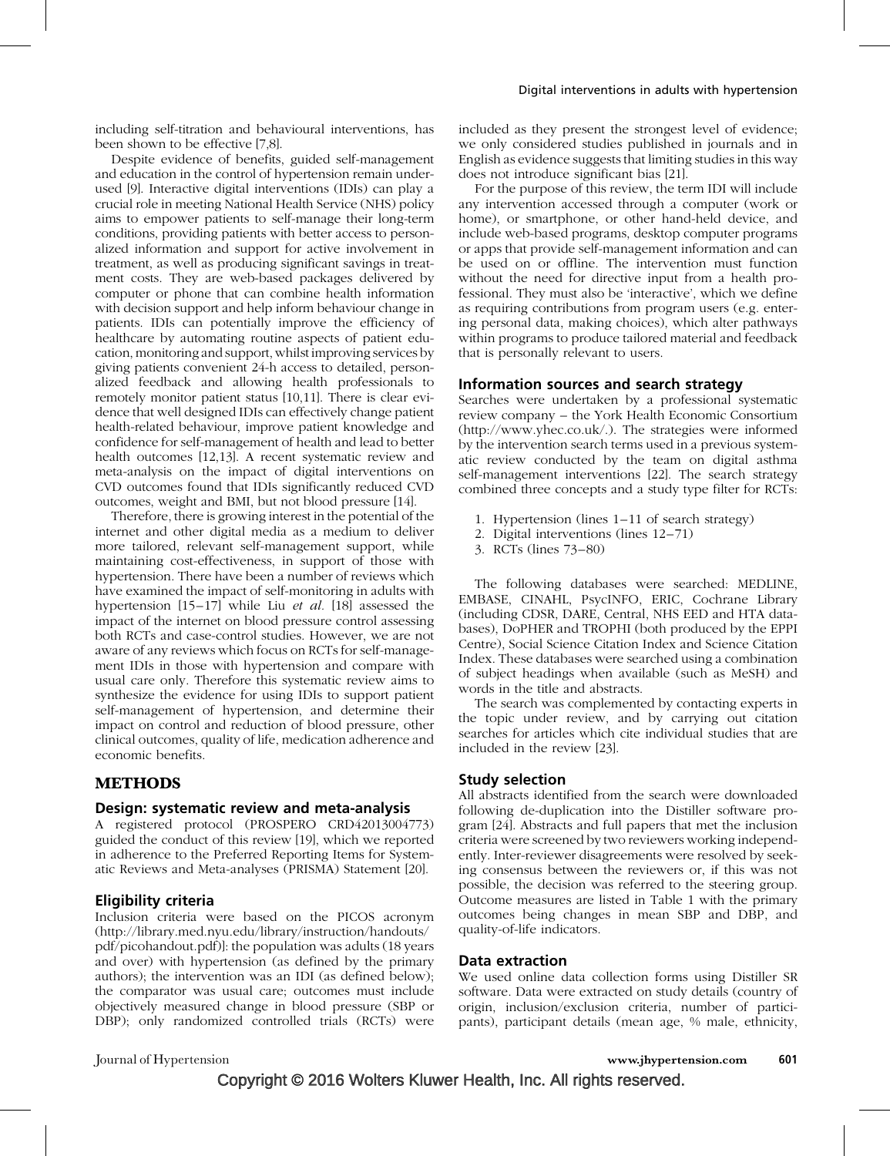including self-titration and behavioural interventions, has been shown to be effective [\[7,8\]](#page-10-0).

Despite evidence of benefits, guided self-management and education in the control of hypertension remain underused [\[9\]](#page-11-0). Interactive digital interventions (IDIs) can play a crucial role in meeting National Health Service (NHS) policy aims to empower patients to self-manage their long-term conditions, providing patients with better access to personalized information and support for active involvement in treatment, as well as producing significant savings in treatment costs. They are web-based packages delivered by computer or phone that can combine health information with decision support and help inform behaviour change in patients. IDIs can potentially improve the efficiency of healthcare by automating routine aspects of patient education, monitoring and support, whilst improving services by giving patients convenient 24-h access to detailed, personalized feedback and allowing health professionals to remotely monitor patient status [\[10,11\]](#page-11-0). There is clear evidence that well designed IDIs can effectively change patient health-related behaviour, improve patient knowledge and confidence for self-management of health and lead to better health outcomes [\[12,13\]](#page-11-0). A recent systematic review and meta-analysis on the impact of digital interventions on CVD outcomes found that IDIs significantly reduced CVD outcomes, weight and BMI, but not blood pressure [\[14\]](#page-11-0).

Therefore, there is growing interest in the potential of the internet and other digital media as a medium to deliver more tailored, relevant self-management support, while maintaining cost-effectiveness, in support of those with hypertension. There have been a number of reviews which have examined the impact of self-monitoring in adults with hypertension [\[15–17\]](#page-11-0) while Liu et al. [\[18\]](#page-11-0) assessed the impact of the internet on blood pressure control assessing both RCTs and case-control studies. However, we are not aware of any reviews which focus on RCTs for self-management IDIs in those with hypertension and compare with usual care only. Therefore this systematic review aims to synthesize the evidence for using IDIs to support patient self-management of hypertension, and determine their impact on control and reduction of blood pressure, other clinical outcomes, quality of life, medication adherence and economic benefits.

### METHODS

### Design: systematic review and meta-analysis

A registered protocol (PROSPERO CRD42013004773) guided the conduct of this review [\[19\]](#page-11-0), which we reported in adherence to the Preferred Reporting Items for Systematic Reviews and Meta-analyses (PRISMA) Statement [\[20\].](#page-11-0)

### Eligibility criteria

Inclusion criteria were based on the PICOS acronym ([http://library.med.nyu.edu/library/instruction/handouts/](http://library.med.nyu.edu/library/instruction/handouts/pdf/picohandout.pdf) [pdf/picohandout.pdf\)](http://library.med.nyu.edu/library/instruction/handouts/pdf/picohandout.pdf)]: the population was adults (18 years and over) with hypertension (as defined by the primary authors); the intervention was an IDI (as defined below); the comparator was usual care; outcomes must include objectively measured change in blood pressure (SBP or DBP); only randomized controlled trials (RCTs) were

included as they present the strongest level of evidence; we only considered studies published in journals and in English as evidence suggests that limiting studies in this way does not introduce significant bias [\[21\]](#page-11-0).

For the purpose of this review, the term IDI will include any intervention accessed through a computer (work or home), or smartphone, or other hand-held device, and include web-based programs, desktop computer programs or apps that provide self-management information and can be used on or offline. The intervention must function without the need for directive input from a health professional. They must also be 'interactive', which we define as requiring contributions from program users (e.g. entering personal data, making choices), which alter pathways within programs to produce tailored material and feedback that is personally relevant to users.

### Information sources and search strategy

Searches were undertaken by a professional systematic review company – the York Health Economic Consortium ([http://www.yhec.co.uk/.\)](http://www.yhec.co.uk/). The strategies were informed by the intervention search terms used in a previous systematic review conducted by the team on digital asthma self-management interventions [\[22\]](#page-11-0). The search strategy combined three concepts and a study type filter for RCTs:

- 1. Hypertension (lines 1–11 of search strategy)
- 2. Digital interventions (lines 12–71)
- 3. RCTs (lines 73–80)

The following databases were searched: MEDLINE, EMBASE, CINAHL, PsycINFO, ERIC, Cochrane Library (including CDSR, DARE, Central, NHS EED and HTA databases), DoPHER and TROPHI (both produced by the EPPI Centre), Social Science Citation Index and Science Citation Index. These databases were searched using a combination of subject headings when available (such as MeSH) and words in the title and abstracts.

The search was complemented by contacting experts in the topic under review, and by carrying out citation searches for articles which cite individual studies that are included in the review [\[23\]](#page-11-0).

### Study selection

All abstracts identified from the search were downloaded following de-duplication into the Distiller software program [\[24\]](#page-11-0). Abstracts and full papers that met the inclusion criteria were screened by two reviewers working independently. Inter-reviewer disagreements were resolved by seeking consensus between the reviewers or, if this was not possible, the decision was referred to the steering group. Outcome measures are listed in Table 1 with the primary outcomes being changes in mean SBP and DBP, and quality-of-life indicators.

### Data extraction

We used online data collection forms using Distiller SR software. Data were extracted on study details (country of origin, inclusion/exclusion criteria, number of participants), participant details (mean age, % male, ethnicity,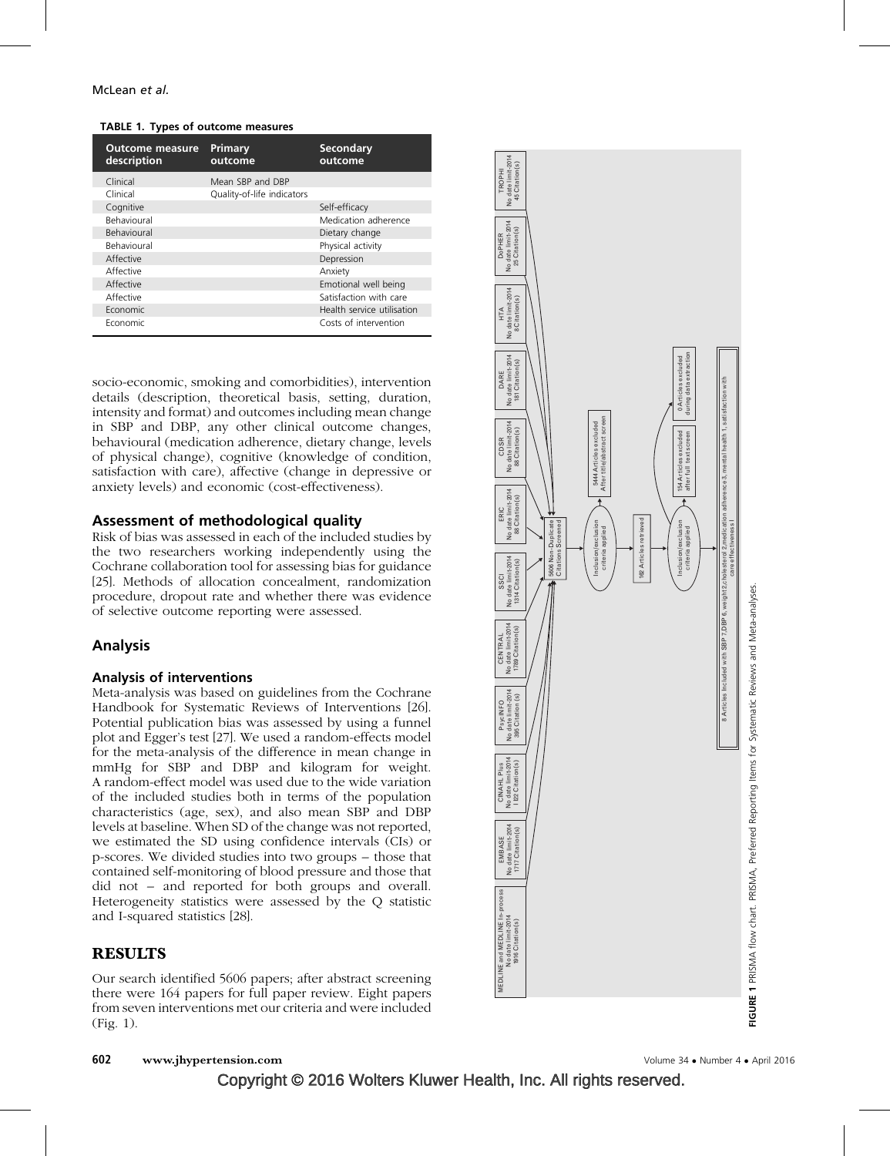### McLean et al.

### TABLE 1. Types of outcome measures

| <b>Outcome measure</b><br>description | Primary<br>outcome         | Secondary<br>outcome       |
|---------------------------------------|----------------------------|----------------------------|
| Clinical                              | Mean SBP and DBP           |                            |
| Clinical                              | Quality-of-life indicators |                            |
| Cognitive                             |                            | Self-efficacy              |
| Behavioural                           |                            | Medication adherence       |
| Behavioural                           |                            | Dietary change             |
| <b>Behavioural</b>                    |                            | Physical activity          |
| Affective                             |                            | Depression                 |
| Affective                             |                            | Anxiety                    |
| Affective                             |                            | Emotional well being       |
| Affective                             |                            | Satisfaction with care     |
| Economic                              |                            | Health service utilisation |
| Economic                              |                            | Costs of intervention      |

socio-economic, smoking and comorbidities), intervention details (description, theoretical basis, setting, duration, intensity and format) and outcomes including mean change in SBP and DBP, any other clinical outcome changes, behavioural (medication adherence, dietary change, levels of physical change), cognitive (knowledge of condition, satisfaction with care), affective (change in depressive or anxiety levels) and economic (cost-effectiveness).

### Assessment of methodological quality

Risk of bias was assessed in each of the included studies by the two researchers working independently using the Cochrane collaboration tool for assessing bias for guidance [\[25\].](#page-11-0) Methods of allocation concealment, randomization procedure, dropout rate and whether there was evidence of selective outcome reporting were assessed.

### Analysis

### Analysis of interventions

Meta-analysis was based on guidelines from the Cochrane Handbook for Systematic Reviews of Interventions [\[26\].](#page-11-0) Potential publication bias was assessed by using a funnel plot and Egger's test [\[27\]](#page-11-0). We used a random-effects model for the meta-analysis of the difference in mean change in mmHg for SBP and DBP and kilogram for weight. A random-effect model was used due to the wide variation of the included studies both in terms of the population characteristics (age, sex), and also mean SBP and DBP levels at baseline. When SD of the change was not reported, we estimated the SD using confidence intervals (CIs) or p-scores. We divided studies into two groups – those that contained self-monitoring of blood pressure and those that did not – and reported for both groups and overall. Heterogeneity statistics were assessed by the Q statistic and I-squared statistics [\[28\].](#page-11-0)

### **RESULTS**

Our search identified 5606 papers; after abstract screening there were 164 papers for full paper review. Eight papers from seven interventions met our criteria and were included (Fig. 1).

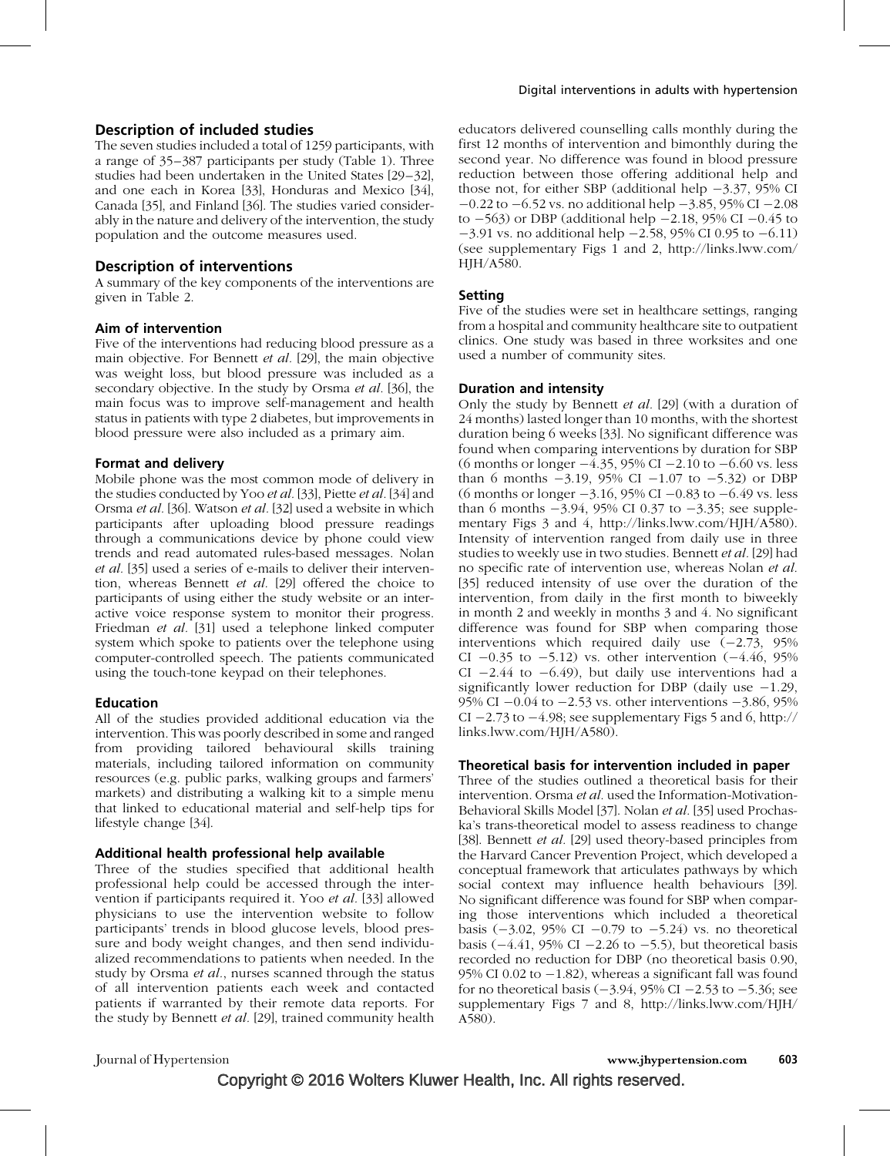### Description of included studies

The seven studies included a total of 1259 participants, with a range of 35–387 participants per study (Table 1). Three studies had been undertaken in the United States [\[29–32\],](#page-11-0) and one each in Korea [\[33\],](#page-11-0) Honduras and Mexico [\[34\],](#page-11-0) Canada [\[35\]](#page-11-0), and Finland [\[36\]](#page-11-0). The studies varied considerably in the nature and delivery of the intervention, the study population and the outcome measures used.

### Description of interventions

A summary of the key components of the interventions are given in Table 2.

### Aim of intervention

Five of the interventions had reducing blood pressure as a main objective. For Bennett et al. [\[29\]](#page-11-0), the main objective was weight loss, but blood pressure was included as a secondary objective. In the study by Orsma et al. [\[36\]](#page-11-0), the main focus was to improve self-management and health status in patients with type 2 diabetes, but improvements in blood pressure were also included as a primary aim.

### Format and delivery

Mobile phone was the most common mode of delivery in the studies conducted by Yoo et al. [\[33\],](#page-11-0) Piette et al. [\[34\]](#page-11-0) and Orsma et al. [\[36\]](#page-11-0). Watson et al. [\[32\]](#page-11-0) used a website in which participants after uploading blood pressure readings through a communications device by phone could view trends and read automated rules-based messages. Nolan et al. [\[35\]](#page-11-0) used a series of e-mails to deliver their intervention, whereas Bennett et al. [\[29\]](#page-11-0) offered the choice to participants of using either the study website or an interactive voice response system to monitor their progress. Friedman et al. [\[31\]](#page-11-0) used a telephone linked computer system which spoke to patients over the telephone using computer-controlled speech. The patients communicated using the touch-tone keypad on their telephones.

### Education

All of the studies provided additional education via the intervention. This was poorly described in some and ranged from providing tailored behavioural skills training materials, including tailored information on community resources (e.g. public parks, walking groups and farmers' markets) and distributing a walking kit to a simple menu that linked to educational material and self-help tips for lifestyle change [\[34\].](#page-11-0)

### Additional health professional help available

Three of the studies specified that additional health professional help could be accessed through the intervention if participants required it. Yoo et al. [\[33\]](#page-11-0) allowed physicians to use the intervention website to follow participants' trends in blood glucose levels, blood pressure and body weight changes, and then send individualized recommendations to patients when needed. In the study by Orsma et al., nurses scanned through the status of all intervention patients each week and contacted patients if warranted by their remote data reports. For the study by Bennett et al. [\[29\],](#page-11-0) trained community health educators delivered counselling calls monthly during the first 12 months of intervention and bimonthly during the second year. No difference was found in blood pressure reduction between those offering additional help and those not, for either SBP (additional help  $-3.37$ , 95% CI  $-0.22$  to  $-6.52$  vs. no additional help  $-3.85$ , 95% CI  $-2.08$ to  $-563$ ) or DBP (additional help  $-2.18$ , 95% CI  $-0.45$  to  $-3.91$  vs. no additional help  $-2.58$ , 95% CI 0.95 to  $-6.11$ ) (see supplementary Figs 1 and 2, [http://links.lww.com/](http://links.lww.com/HJH/A580) [HJH/A580](http://links.lww.com/HJH/A580).

### Setting

Five of the studies were set in healthcare settings, ranging from a hospital and community healthcare site to outpatient clinics. One study was based in three worksites and one used a number of community sites.

### Duration and intensity

Only the study by Bennett et al. [\[29\]](#page-11-0) (with a duration of 24 months) lasted longer than 10 months, with the shortest duration being 6 weeks [\[33\].](#page-11-0) No significant difference was found when comparing interventions by duration for SBP (6 months or longer  $-4.35$ , 95% CI  $-2.10$  to  $-6.60$  vs. less than 6 months  $-3.19$ , 95% CI  $-1.07$  to  $-5.32$ ) or DBP (6 months or longer  $-3.16$ , 95% CI  $-0.83$  to  $-6.49$  vs. less than 6 months  $-3.94$ , 95% CI 0.37 to  $-3.35$ ; see supplementary Figs 3 and 4, [http://links.lww.com/HJH/A580\)](http://links.lww.com/HJH/A580). Intensity of intervention ranged from daily use in three studies to weekly use in two studies. Bennett et al. [\[29\]](#page-11-0) had no specific rate of intervention use, whereas Nolan et al. [\[35\]](#page-11-0) reduced intensity of use over the duration of the intervention, from daily in the first month to biweekly in month 2 and weekly in months 3 and 4. No significant difference was found for SBP when comparing those interventions which required daily use  $(-2.73, 95\%)$ CI  $-0.35$  to  $-5.12$ ) vs. other intervention  $(-4.46, 95\%$ CI  $-2.44$  to  $-6.49$ ), but daily use interventions had a significantly lower reduction for DBP (daily use  $-1.29$ , 95% CI  $-0.04$  to  $-2.53$  vs. other interventions  $-3.86$ , 95% CI  $-2.73$  to  $-4.98$ ; see supplementary Figs 5 and 6, [http://](http://links.lww.com/HJH/A580) [links.lww.com/HJH/A580\)](http://links.lww.com/HJH/A580).

### Theoretical basis for intervention included in paper

Three of the studies outlined a theoretical basis for their intervention. Orsma et al. used the Information-Motivation-Behavioral Skills Model [\[37\]](#page-11-0). Nolan et al. [\[35\]](#page-11-0) used Prochaska's trans-theoretical model to assess readiness to change [\[38\]](#page-11-0). Bennett *et al.* [\[29\]](#page-11-0) used theory-based principles from the Harvard Cancer Prevention Project, which developed a conceptual framework that articulates pathways by which social context may influence health behaviours [\[39\]](#page-11-0). No significant difference was found for SBP when comparing those interventions which included a theoretical basis  $(-3.02, 95\% \text{ CI} -0.79 \text{ to } -5.24) \text{ vs. no theoretical}$ basis  $(-4.41, 95\% \text{ CI} -2.26 \text{ to } -5.5)$ , but theoretical basis recorded no reduction for DBP (no theoretical basis 0.90, 95% CI 0.02 to  $-1.82$ ), whereas a significant fall was found for no theoretical basis  $(-3.94, 95\% \text{ CI} - 2.53 \text{ to } -5.36; \text{ see}$ supplementary Figs 7 and 8, [http://links.lww.com/HJH/](http://links.lww.com/HJH/A580) [A580\)](http://links.lww.com/HJH/A580).

Copyright © 2016 Wolters Kluwer Health, Inc. All rights reserved.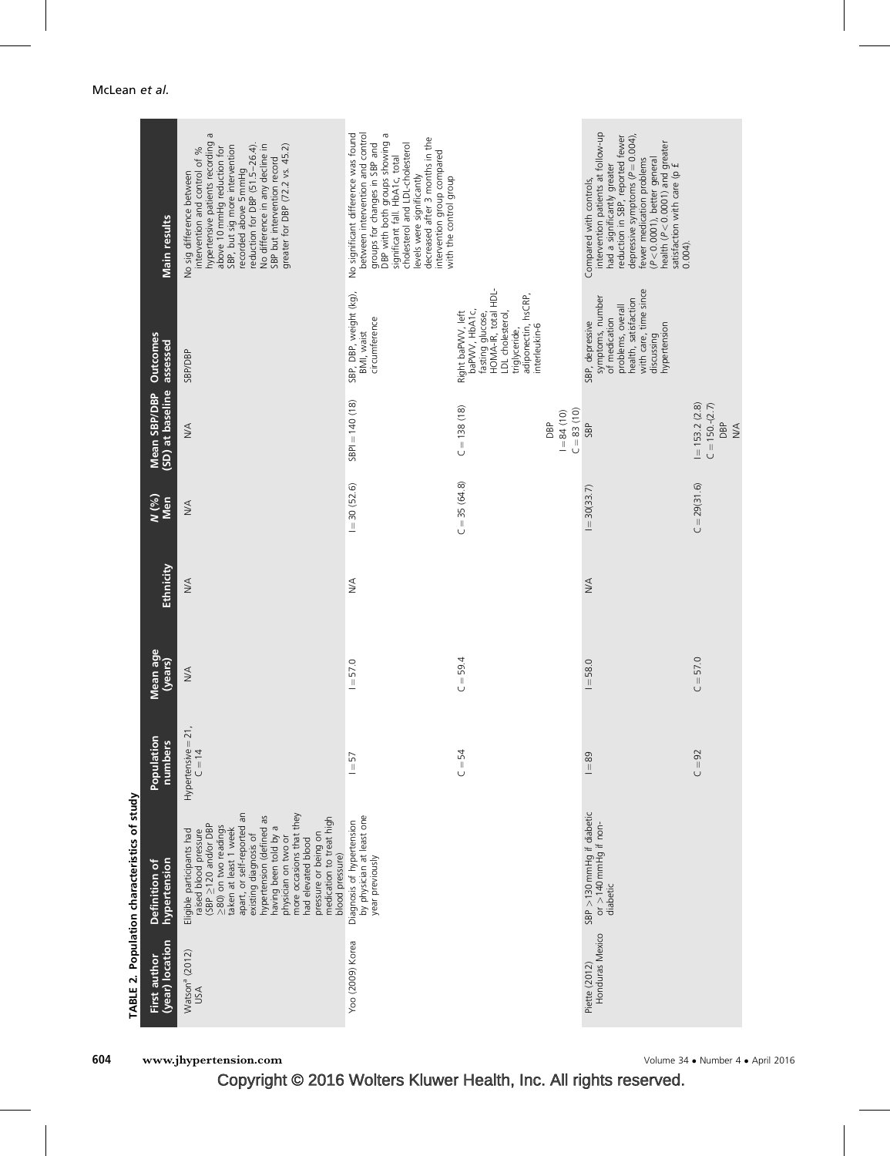|                                              | Main results                     | hypertensive patients recording a<br>reduction for DBP (51.5-26.4).<br>No difference in any decline in<br>greater for DBP (72.2 vs. 45.2)<br>SBP, but sig more intervention<br>above 10 mmHg reduction for<br>intervention and control of %<br>SBP but intervention record<br>recorded above 5 mmHg<br>No sig difference between                                                                     | between intervention and control<br>No significant difference was found<br>DBP with both groups showing a<br>decreased after 3 months in the<br>cholesterol and LDL-cholesterol<br>groups for changes in SBP and<br>intervention group compared<br>significant fall. HbA1c, total<br>levels were significantly<br>with the control group |                                                                                                                                                            | intervention patients at follow-up<br>depressive symptoms ( $P = 0.004$ ),<br>reduction in SBP, reported fewer<br>$(P < 0.0001)$ , better general<br>health $(P < 0.0001)$ and greater<br>satisfaction with care (p £<br>fewer medication problems<br>had a significantly greater<br>Compared with controls,<br>$0.004$ ). |                                                            |
|----------------------------------------------|----------------------------------|------------------------------------------------------------------------------------------------------------------------------------------------------------------------------------------------------------------------------------------------------------------------------------------------------------------------------------------------------------------------------------------------------|------------------------------------------------------------------------------------------------------------------------------------------------------------------------------------------------------------------------------------------------------------------------------------------------------------------------------------------|------------------------------------------------------------------------------------------------------------------------------------------------------------|----------------------------------------------------------------------------------------------------------------------------------------------------------------------------------------------------------------------------------------------------------------------------------------------------------------------------|------------------------------------------------------------|
|                                              | <b>Outcomes</b><br>assessed      | <b>SBP/DBP</b>                                                                                                                                                                                                                                                                                                                                                                                       | SBP, DBP, weight (kg),<br>circumference<br>BMI, waist                                                                                                                                                                                                                                                                                    | HOMA-IR, total HDL-<br>LDL cholesterol,<br>triglyceride,<br>adiponectin, hsCRP,<br>baPWV, HbA1c,<br>Right baPWV, left<br>fasting glucose,<br>interleukin-6 | with care, time since<br>symptoms, number<br>health, satisfaction<br>problems, overall<br>of medication<br>SBP, depressive<br>hypertension<br>discussing                                                                                                                                                                   |                                                            |
|                                              | (SD) at baseline<br>Mean SBP/DBP | $\lessgtr$                                                                                                                                                                                                                                                                                                                                                                                           | $SBPI = 140(18)$                                                                                                                                                                                                                                                                                                                         | $C = 138(18)$<br>$C = 83(10)$<br>$I = 84(10)$<br>DBP                                                                                                       | SBP                                                                                                                                                                                                                                                                                                                        | $C = 150.-(2.7)$<br>$I = 153.2 (2.8)$<br>DBP<br>$\lessgtr$ |
|                                              | $N($ %)<br>Men                   | $\frac{4}{2}$                                                                                                                                                                                                                                                                                                                                                                                        | $I = 30(52.6)$                                                                                                                                                                                                                                                                                                                           | $C = 35(64.8)$                                                                                                                                             | $I = 30(33.7)$                                                                                                                                                                                                                                                                                                             | $C = 29(31.6)$                                             |
|                                              | Ethnicity                        | $\frac{4}{2}$                                                                                                                                                                                                                                                                                                                                                                                        | $\frac{4}{2}$                                                                                                                                                                                                                                                                                                                            |                                                                                                                                                            | ≸                                                                                                                                                                                                                                                                                                                          |                                                            |
|                                              | Mean age<br>(years)              | $\lessgtr$                                                                                                                                                                                                                                                                                                                                                                                           | $I = 57.0$                                                                                                                                                                                                                                                                                                                               | $C = 59.4$                                                                                                                                                 | $I = 58.0$                                                                                                                                                                                                                                                                                                                 | $C = 57.0$                                                 |
|                                              | Population<br>numbers            | Hypertensive = 21,<br>$C = 14$                                                                                                                                                                                                                                                                                                                                                                       | $I = 57$                                                                                                                                                                                                                                                                                                                                 | $C = 54$                                                                                                                                                   | $= 89$                                                                                                                                                                                                                                                                                                                     | $C = 92$                                                   |
| TABLE 2. Population characteristics of study | hypertension<br>Definition of    | apart, or self-reported an<br>more occasions that they<br>hypertension (defined as<br>medication to treat high<br>$(SBP \geq 120$ and/or DBP<br>$\geq 80$ ) on two readings<br>having been told by a<br>taken at least 1 week<br>Eligible participants had<br>raised blood pressure<br>pressure or being on<br>existing diagnosis of<br>physician on two or<br>had elevated blood<br>blood pressure) | by physician at least one<br>Diagnosis of hypertension<br>year previously                                                                                                                                                                                                                                                                |                                                                                                                                                            | SBP >130 mmHg if diabetic<br>or >140 mmHg if non-<br>diabetic                                                                                                                                                                                                                                                              |                                                            |
|                                              | (year) location<br>First author  | Watson <sup>ª</sup> (2012)<br><b>ASU</b>                                                                                                                                                                                                                                                                                                                                                             | Yoo (2009) Korea                                                                                                                                                                                                                                                                                                                         |                                                                                                                                                            | Honduras Mexico<br>Piette (2012)                                                                                                                                                                                                                                                                                           |                                                            |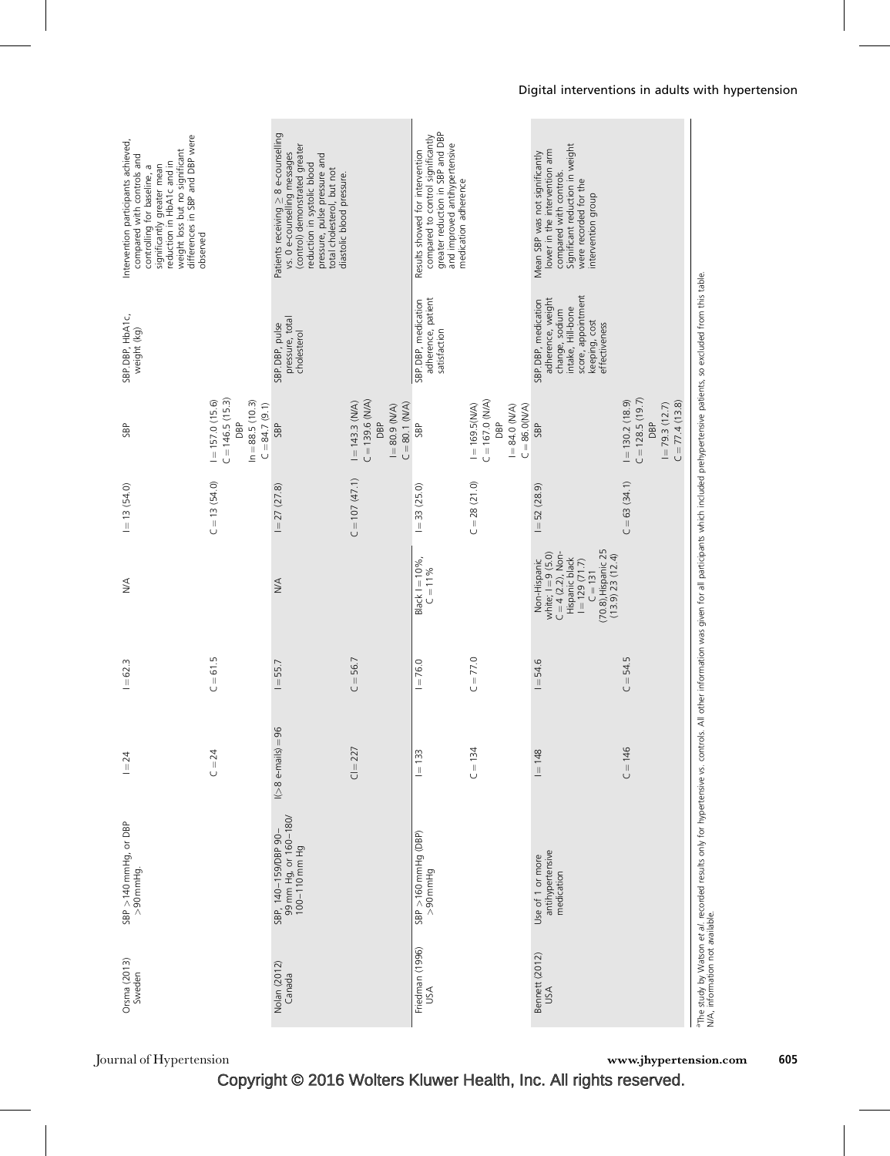| differences in SBP and DBP were<br>Intervention participants achieved,<br>compared with controls and<br>weight loss but no significant<br>significantly greater mean<br>reduction in HbA1c and in<br>controlling for baseline, a<br>observed |                                                                                        | Patients receiving > 8 e-counselling<br>(control) demonstrated greater<br>vs. 0 e-counselling messages<br>pressure, pulse pressure and<br>total cholesterol, but not<br>reduction in systolic blood<br>diastolic blood pressure. |                                                                                              | greater reduction in SBP and DBP<br>compared to control significantly<br>and improved antihypertensive<br>Results showed for intervention<br>medication adherence |                                                                                     | Significant reduction in weight<br>lower in the intervention arm<br>Mean SBP was not significantly<br>compared with controls.<br>were recorded for the<br>intervention group |                                                                                                                                                                                                                                   |
|----------------------------------------------------------------------------------------------------------------------------------------------------------------------------------------------------------------------------------------------|----------------------------------------------------------------------------------------|----------------------------------------------------------------------------------------------------------------------------------------------------------------------------------------------------------------------------------|----------------------------------------------------------------------------------------------|-------------------------------------------------------------------------------------------------------------------------------------------------------------------|-------------------------------------------------------------------------------------|------------------------------------------------------------------------------------------------------------------------------------------------------------------------------|-----------------------------------------------------------------------------------------------------------------------------------------------------------------------------------------------------------------------------------|
| SBP.DBP, HbA1c,<br>weight (kg)                                                                                                                                                                                                               |                                                                                        | pressure, total<br>cholesterol<br>SBP.DBP, pulse                                                                                                                                                                                 |                                                                                              | adherence, patient<br>SBP.DBP, medication<br>satisfaction                                                                                                         |                                                                                     | score, appointment<br>adherence, weight<br>SBP.DBP, medication<br>intake, Hill-bone<br>change, sodium<br>keeping, cost<br>effectiveness                                      |                                                                                                                                                                                                                                   |
| SBP                                                                                                                                                                                                                                          | $C = 146.5(15.3)$<br>$1 = 157.0(15.6)$<br>$ln = 88.5(10.3)$<br>$C = 84.7 (9.1)$<br>DBP | SBP                                                                                                                                                                                                                              | $C = 139.6$ (N/A)<br>$I = 143.3$ (N/A)<br>$C = 80.1$ (N/A)<br>$I = 80.9$ (N/A)<br><b>DBP</b> | SBP                                                                                                                                                               | $C = 167.0 (N/A)$<br>$I = 169.5(N/A)$<br>$I = 84.0$ (N/A)<br>$C = 86.0(N/A)$<br>DBP | SBP                                                                                                                                                                          | $C = 128.5(19.7)$<br>$I = 130.2(18.9)$<br>$C = 77.4(13.8)$<br>$I = 79.3(12.7)$<br>DBP                                                                                                                                             |
| $1 = 13(54.0)$                                                                                                                                                                                                                               | $C = 13(54.0)$                                                                         | $I = 27 (27.8)$                                                                                                                                                                                                                  | $C = 107(47.1)$                                                                              | $I = 33(25.0)$                                                                                                                                                    | $C = 28(21.0)$                                                                      | $I = 52(28.9)$                                                                                                                                                               | $C = 63$ $(34.1)$                                                                                                                                                                                                                 |
| ≸                                                                                                                                                                                                                                            |                                                                                        | $\frac{\triangleleft}{\triangle}$                                                                                                                                                                                                |                                                                                              | $Black I = 10\%$ ,<br>$C = 11%$                                                                                                                                   |                                                                                     | $(70.8)$ , Hispanic 25<br>$(13.9)$ 23 $(12.4)$<br>white; $1 = 9$ (5.0)<br>C = 4 (2.2), Non-<br>Hispanic black<br>Non-Hispanic<br>$I = 129(71.7)$<br>$C = 131$                |                                                                                                                                                                                                                                   |
| $1 = 62.3$                                                                                                                                                                                                                                   | $C = 61.5$                                                                             | $I = 55.7$                                                                                                                                                                                                                       | $C = 56.7$                                                                                   | $I = 76.0$                                                                                                                                                        | $C = 77.0$                                                                          | $I = 54.6$                                                                                                                                                                   | $C = 54.5$                                                                                                                                                                                                                        |
| $I = 24$                                                                                                                                                                                                                                     | $C = 24$                                                                               | $I(>8$ e-mails) = 96                                                                                                                                                                                                             | $Cl = 227$                                                                                   | $I = 133$                                                                                                                                                         | $C = 134$                                                                           | $= 148$                                                                                                                                                                      | $C = 146$                                                                                                                                                                                                                         |
| SBP >140 mmHg, or DBP<br>>90 mmHg.                                                                                                                                                                                                           |                                                                                        | SBP, 140-159/DBP 90-<br>99 mm Hg, or 160-180/<br>100-110 mm Hg                                                                                                                                                                   |                                                                                              | SBP >160 mmHg (DBP)<br>>90 mmHg                                                                                                                                   |                                                                                     | antihypertensive<br>Use of 1 or more<br>medication                                                                                                                           | °The study by Watson et al. recorded results only for hypertensive vs. controls. All other information was given for all participants which included prehypertensive patients, so excluded from this table.<br>N/A, information n |
| Orsma (2013)<br>Sweden                                                                                                                                                                                                                       |                                                                                        | Nolan (2012)<br>Canada                                                                                                                                                                                                           |                                                                                              | Friedman (1996)<br>USA                                                                                                                                            |                                                                                     | Bennett (2012)<br>USA                                                                                                                                                        |                                                                                                                                                                                                                                   |

Journal of Hypertension www.jhypertension.com 605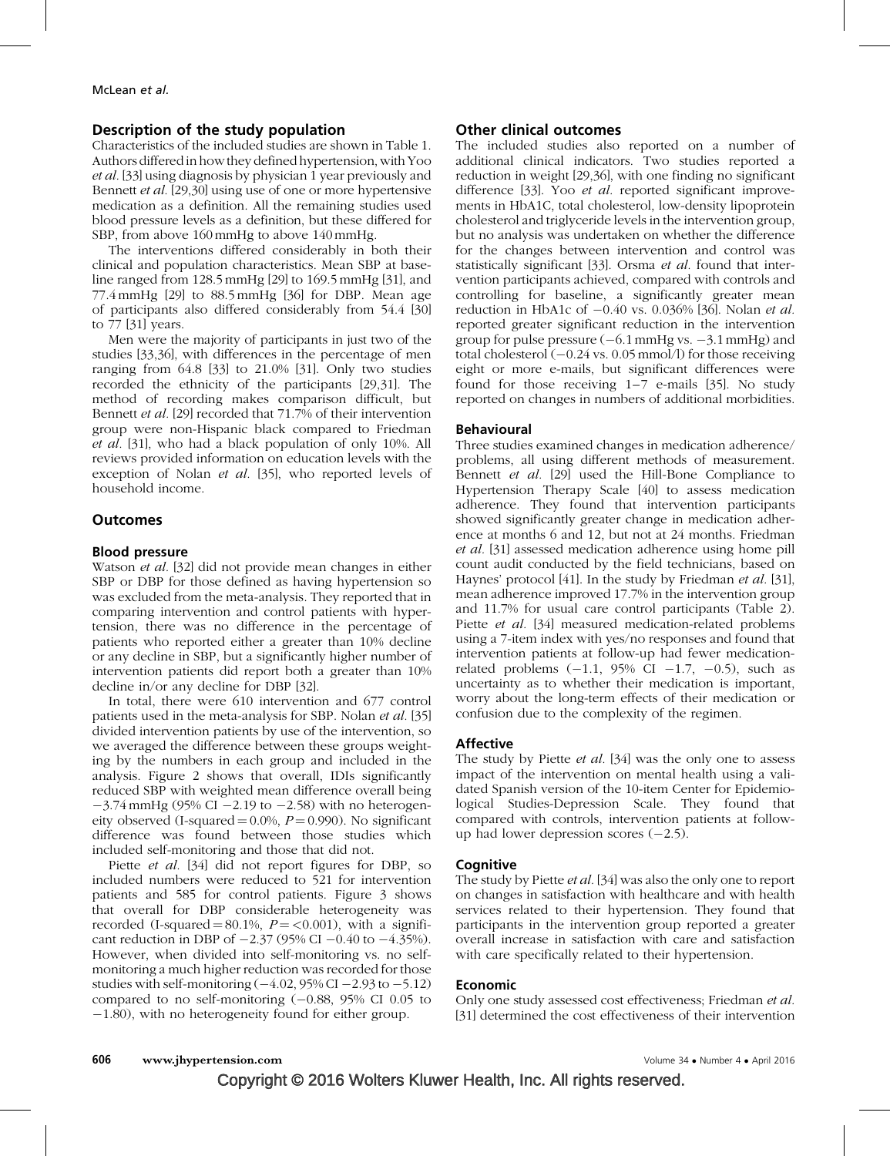### Description of the study population

Characteristics of the included studies are shown in Table 1. Authors differed in how they defined hypertension, with Yoo et al. [\[33\]](#page-11-0) using diagnosis by physician 1 year previously and Bennett et al. [\[29,30\]](#page-11-0) using use of one or more hypertensive medication as a definition. All the remaining studies used blood pressure levels as a definition, but these differed for SBP, from above 160 mmHg to above 140 mmHg.

The interventions differed considerably in both their clinical and population characteristics. Mean SBP at baseline ranged from 128.5 mmHg [\[29\]](#page-11-0) to 169.5 mmHg [\[31\]](#page-11-0), and 77.4 mmHg [\[29\]](#page-11-0) to 88.5 mmHg [\[36\]](#page-11-0) for DBP. Mean age of participants also differed considerably from 54.4 [\[30\]](#page-11-0) to 77 [\[31\]](#page-11-0) years.

Men were the majority of participants in just two of the studies [\[33,36\]](#page-11-0), with differences in the percentage of men ranging from 64.8 [\[33\]](#page-11-0) to 21.0% [\[31\]](#page-11-0). Only two studies recorded the ethnicity of the participants [\[29,31\]](#page-11-0). The method of recording makes comparison difficult, but Bennett et al. [\[29\]](#page-11-0) recorded that 71.7% of their intervention group were non-Hispanic black compared to Friedman et al. [\[31\],](#page-11-0) who had a black population of only 10%. All reviews provided information on education levels with the exception of Nolan et al. [\[35\]](#page-11-0), who reported levels of household income.

### **Outcomes**

### Blood pressure

Watson et al. [\[32\]](#page-11-0) did not provide mean changes in either SBP or DBP for those defined as having hypertension so was excluded from the meta-analysis. They reported that in comparing intervention and control patients with hypertension, there was no difference in the percentage of patients who reported either a greater than 10% decline or any decline in SBP, but a significantly higher number of intervention patients did report both a greater than 10% decline in/or any decline for DBP [\[32\]](#page-11-0).

In total, there were 610 intervention and 677 control patients used in the meta-analysis for SBP. Nolan et al. [\[35\]](#page-11-0) divided intervention patients by use of the intervention, so we averaged the difference between these groups weighting by the numbers in each group and included in the analysis. Figure 2 shows that overall, IDIs significantly reduced SBP with weighted mean difference overall being  $-3.74$  mmHg (95% CI  $-2.19$  to  $-2.58$ ) with no heterogeneity observed (I-squared  $= 0.0\%$ ,  $P = 0.990$ ). No significant difference was found between those studies which included self-monitoring and those that did not.

Piette et al. [\[34\]](#page-11-0) did not report figures for DBP, so included numbers were reduced to 521 for intervention patients and 585 for control patients. Figure 3 shows that overall for DBP considerable heterogeneity was recorded (I-squared = 80.1%,  $P = \langle 0.001 \rangle$ , with a significant reduction in DBP of  $-2.37$  (95% CI  $-0.40$  to  $-4.35%$ ). However, when divided into self-monitoring vs. no selfmonitoring a much higher reduction was recorded for those studies with self-monitoring  $(-4.02, 95\% \text{ CI} - 2.93 \text{ to } -5.12)$ compared to no self-monitoring  $(-0.88, 95\% \text{ CI } 0.05 \text{ to } 0.05)$  $-1.80$ ), with no heterogeneity found for either group.

### Other clinical outcomes

The included studies also reported on a number of additional clinical indicators. Two studies reported a reduction in weight [\[29,36\],](#page-11-0) with one finding no significant difference [\[33\].](#page-11-0) Yoo et al. reported significant improvements in HbA1C, total cholesterol, low-density lipoprotein cholesterol and triglyceride levels in the intervention group, but no analysis was undertaken on whether the difference for the changes between intervention and control was statistically significant [\[33\]](#page-11-0). Orsma et al. found that intervention participants achieved, compared with controls and controlling for baseline, a significantly greater mean reduction in HbA1c of  $-0.40$  vs. 0.036% [\[36\]](#page-11-0). Nolan et al. reported greater significant reduction in the intervention group for pulse pressure  $(-6.1 \text{ mmHg vs. } -3.1 \text{ mmHg})$  and total cholesterol  $(-0.24 \text{ vs. } 0.05 \text{ mmol/l})$  for those receiving eight or more e-mails, but significant differences were found for those receiving 1–7 e-mails [\[35\]](#page-11-0). No study reported on changes in numbers of additional morbidities.

### Behavioural

Three studies examined changes in medication adherence/ problems, all using different methods of measurement. Bennett et al. [\[29\]](#page-11-0) used the Hill-Bone Compliance to Hypertension Therapy Scale [\[40\]](#page-11-0) to assess medication adherence. They found that intervention participants showed significantly greater change in medication adherence at months 6 and 12, but not at 24 months. Friedman et al. [\[31\]](#page-11-0) assessed medication adherence using home pill count audit conducted by the field technicians, based on Haynes' protocol [\[41\]](#page-11-0). In the study by Friedman et al. [\[31\]](#page-11-0), mean adherence improved 17.7% in the intervention group and 11.7% for usual care control participants (Table 2). Piette et al. [\[34\]](#page-11-0) measured medication-related problems using a 7-item index with yes/no responses and found that intervention patients at follow-up had fewer medicationrelated problems  $(-1.1, 95\% \text{ CI } -1.7, -0.5)$ , such as uncertainty as to whether their medication is important, worry about the long-term effects of their medication or confusion due to the complexity of the regimen.

### Affective

The study by Piette *et al.* [\[34\]](#page-11-0) was the only one to assess impact of the intervention on mental health using a validated Spanish version of the 10-item Center for Epidemiological Studies-Depression Scale. They found that compared with controls, intervention patients at followup had lower depression scores  $(-2.5)$ .

### **Cognitive**

The study by Piette et al. [\[34\]](#page-11-0) was also the only one to report on changes in satisfaction with healthcare and with health services related to their hypertension. They found that participants in the intervention group reported a greater overall increase in satisfaction with care and satisfaction with care specifically related to their hypertension.

### Economic

Only one study assessed cost effectiveness; Friedman et al. [\[31\]](#page-11-0) determined the cost effectiveness of their intervention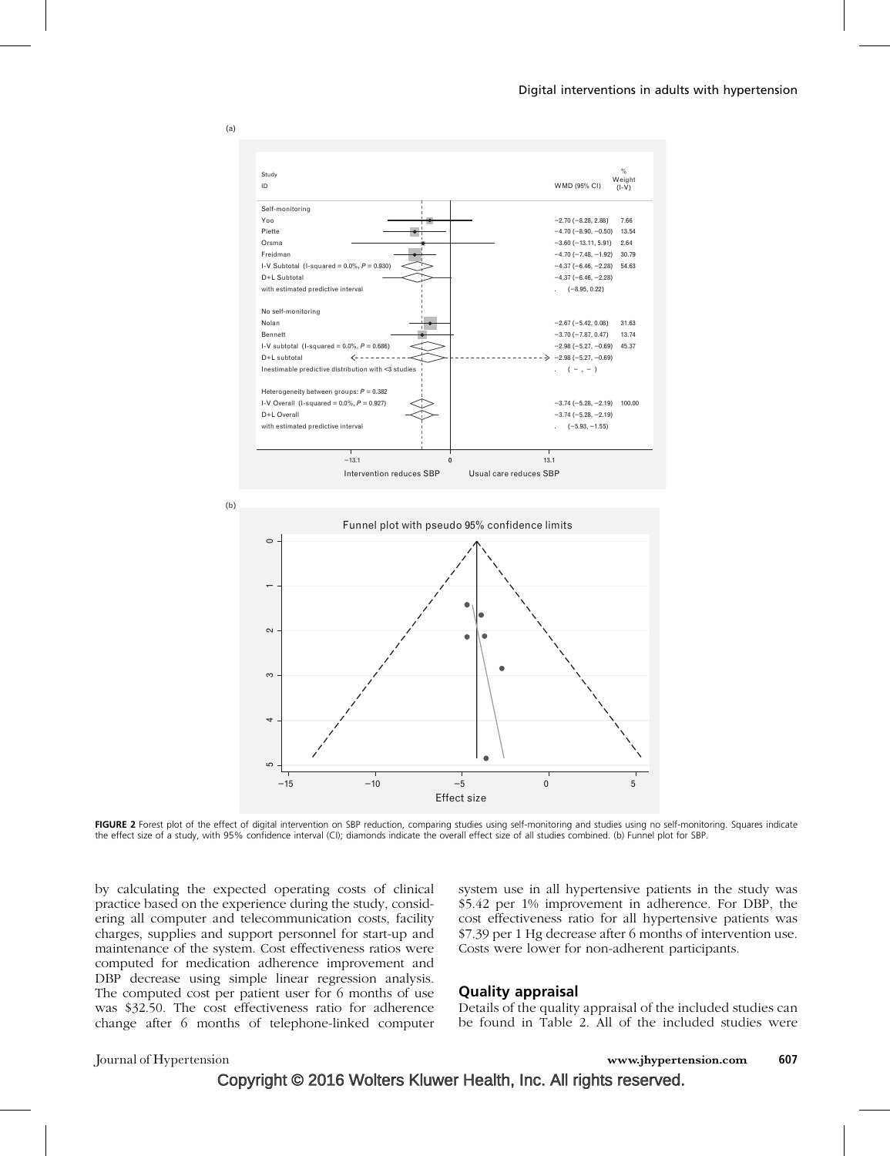

FIGURE 2 Forest plot of the effect of digital intervention on SBP reduction, comparing studies using self-monitoring and studies using no self-monitoring. Squares indicate the effect size of a study, with 95% confidence interval (CI); diamonds indicate the overall effect size of all studies combined. (b) Funnel plot for SBP.

by calculating the expected operating costs of clinical practice based on the experience during the study, considering all computer and telecommunication costs, facility charges, supplies and support personnel for start-up and maintenance of the system. Cost effectiveness ratios were computed for medication adherence improvement and DBP decrease using simple linear regression analysis. The computed cost per patient user for 6 months of use was \$32.50. The cost effectiveness ratio for adherence change after 6 months of telephone-linked computer system use in all hypertensive patients in the study was \$5.42 per 1% improvement in adherence. For DBP, the cost effectiveness ratio for all hypertensive patients was \$7.39 per 1 Hg decrease after 6 months of intervention use. Costs were lower for non-adherent participants.

### Quality appraisal

Details of the quality appraisal of the included studies can be found in Table 2. All of the included studies were

### Journal of Hypertension www.jhypertension.com 607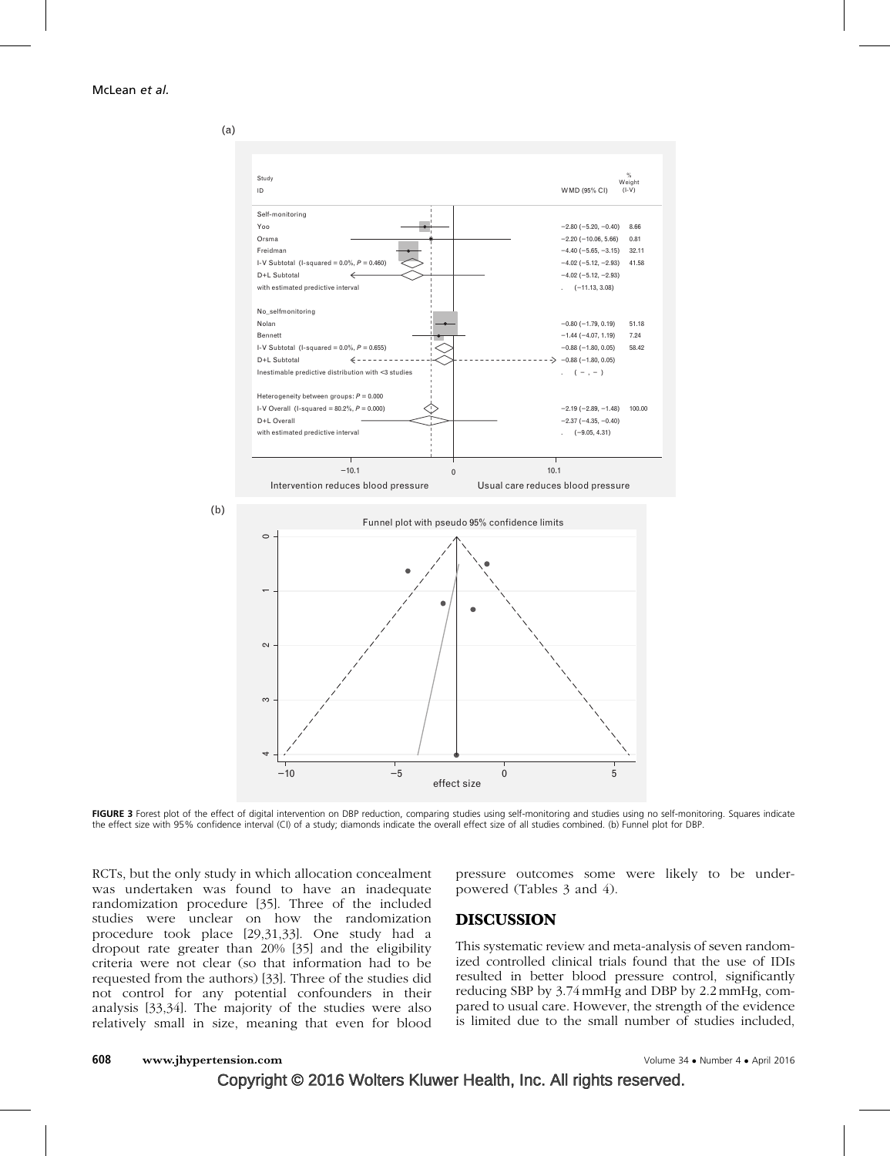

FIGURE 3 Forest plot of the effect of digital intervention on DBP reduction, comparing studies using self-monitoring and studies using no self-monitoring. Squares indicate the effect size with 95% confidence interval (CI) of a study; diamonds indicate the overall effect size of all studies combined. (b) Funnel plot for DBP.

RCTs, but the only study in which allocation concealment was undertaken was found to have an inadequate randomization procedure [\[35\].](#page-11-0) Three of the included studies were unclear on how the randomization procedure took place [\[29,31,33\]](#page-11-0). One study had a dropout rate greater than 20% [\[35\]](#page-11-0) and the eligibility criteria were not clear (so that information had to be requested from the authors) [\[33\]](#page-11-0). Three of the studies did not control for any potential confounders in their analysis [\[33,34\]](#page-11-0). The majority of the studies were also relatively small in size, meaning that even for blood

pressure outcomes some were likely to be underpowered (Tables 3 and 4).

### DISCUSSION

This systematic review and meta-analysis of seven randomized controlled clinical trials found that the use of IDIs resulted in better blood pressure control, significantly reducing SBP by 3.74 mmHg and DBP by 2.2 mmHg, compared to usual care. However, the strength of the evidence is limited due to the small number of studies included,

### 608 www.jhypertension.com

• Number 4 • April 2016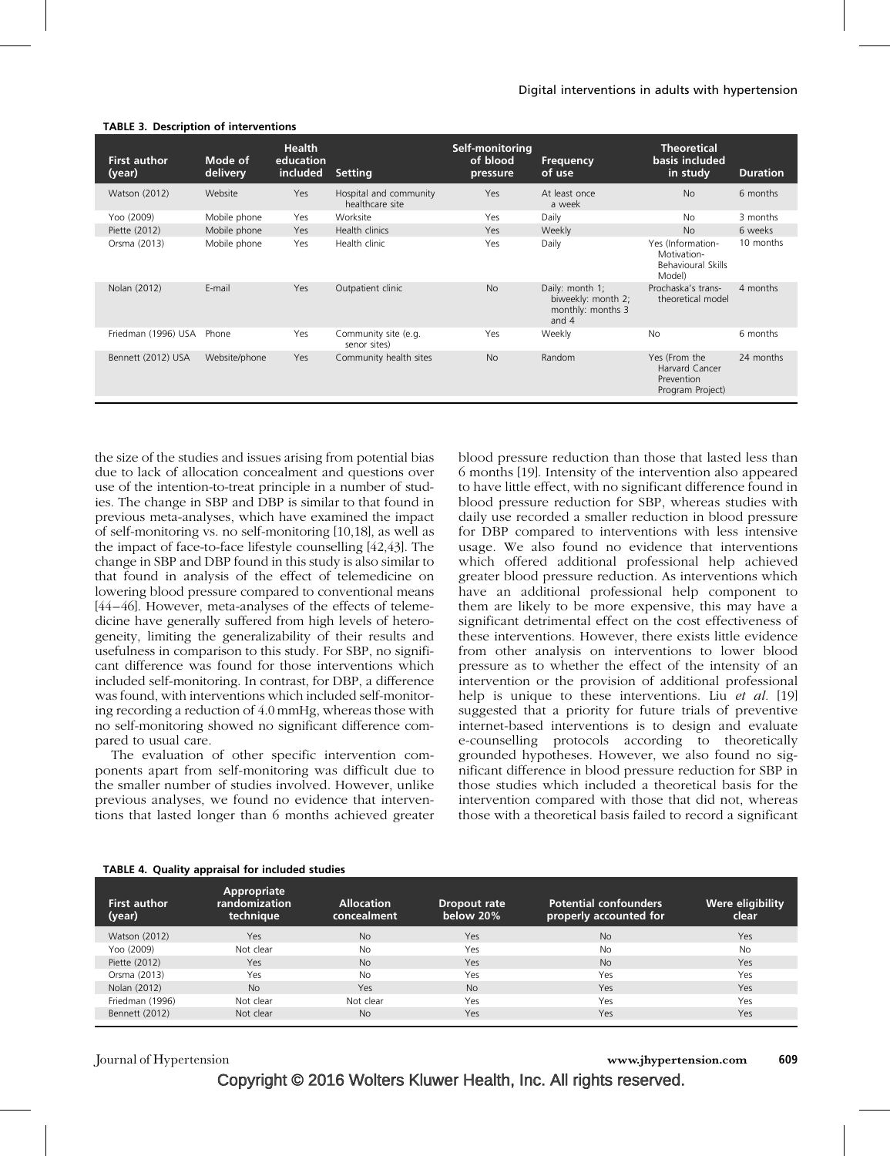#### First author (year) Mode of delivery Health education included Setting Self-monitoring of blood pressure **Frequency** of use **Theoretical** basis included in study Duration Watson (2012) Website Yes Hospital and community healthcare site Yes At least once a week No 6 months Yoo (2009) Mobile phone Yes Worksite Yes Daily No 3 months Piette (2012) Mobile phone Yes Health clinics Yes Weekly No 6 weeks Orsma (2013) Mobile phone Yes Health clinic Yes Daily Yes (Information-Motivation-Behavioural Skills Model) 10 months Nolan (2012) **E-mail Cally: The Contract Contract Clinic** Collection Control Daily: month 1; biweekly: month 2; monthly: months 3 and 4 Prochaska's transtheoretical model 4 months Friedman (1996) USA Phone Yes Community site (e.g. senor sites) Yes Weekly No 6 months Bennett (2012) USA Website/phone Yes Community health sites No Random Yes (From the Harvard Cancer Prevention Program Project) 24 months

TABLE 3. Description of interventions

the size of the studies and issues arising from potential bias due to lack of allocation concealment and questions over use of the intention-to-treat principle in a number of studies. The change in SBP and DBP is similar to that found in previous meta-analyses, which have examined the impact of self-monitoring vs. no self-monitoring [\[10,18\],](#page-11-0) as well as the impact of face-to-face lifestyle counselling [\[42,43\]](#page-11-0). The change in SBP and DBP found in this study is also similar to that found in analysis of the effect of telemedicine on lowering blood pressure compared to conventional means [\[44–46\]](#page-11-0). However, meta-analyses of the effects of telemedicine have generally suffered from high levels of heterogeneity, limiting the generalizability of their results and usefulness in comparison to this study. For SBP, no significant difference was found for those interventions which included self-monitoring. In contrast, for DBP, a difference was found, with interventions which included self-monitoring recording a reduction of 4.0 mmHg, whereas those with no self-monitoring showed no significant difference compared to usual care.

The evaluation of other specific intervention components apart from self-monitoring was difficult due to the smaller number of studies involved. However, unlike previous analyses, we found no evidence that interventions that lasted longer than 6 months achieved greater blood pressure reduction than those that lasted less than 6 months [\[19\].](#page-11-0) Intensity of the intervention also appeared to have little effect, with no significant difference found in blood pressure reduction for SBP, whereas studies with daily use recorded a smaller reduction in blood pressure for DBP compared to interventions with less intensive usage. We also found no evidence that interventions which offered additional professional help achieved greater blood pressure reduction. As interventions which have an additional professional help component to them are likely to be more expensive, this may have a significant detrimental effect on the cost effectiveness of these interventions. However, there exists little evidence from other analysis on interventions to lower blood pressure as to whether the effect of the intensity of an intervention or the provision of additional professional help is unique to these interventions. Liu et al. [\[19\]](#page-11-0) suggested that a priority for future trials of preventive internet-based interventions is to design and evaluate e-counselling protocols according to theoretically grounded hypotheses. However, we also found no significant difference in blood pressure reduction for SBP in those studies which included a theoretical basis for the intervention compared with those that did not, whereas those with a theoretical basis failed to record a significant

|                        | .                                         |                                  |                           |                                                        |                           |
|------------------------|-------------------------------------------|----------------------------------|---------------------------|--------------------------------------------------------|---------------------------|
| First author<br>(year) | Appropriate<br>randomization<br>technique | <b>Allocation</b><br>concealment | Dropout rate<br>below 20% | <b>Potential confounders</b><br>properly accounted for | Were eligibility<br>clear |
| <b>Watson (2012)</b>   | Yes                                       | <b>No</b>                        | Yes                       | <b>No</b>                                              | Yes                       |
| Yoo (2009)             | Not clear                                 | <b>No</b>                        | Yes                       | <b>No</b>                                              | <b>No</b>                 |
| Piette (2012)          | Yes                                       | No                               | Yes                       | <b>No</b>                                              | Yes                       |
| Orsma (2013)           | Yes                                       | <b>No</b>                        | Yes                       | Yes                                                    | Yes                       |
| Nolan (2012)           | <b>No</b>                                 | Yes                              | <b>No</b>                 | Yes                                                    | Yes                       |
| Friedman (1996)        | Not clear                                 | Not clear                        | Yes                       | Yes                                                    | Yes                       |
| Bennett (2012)         | Not clear                                 | <b>No</b>                        | Yes                       | Yes                                                    | Yes                       |
|                        |                                           |                                  |                           |                                                        |                           |

#### TABLE 4. Quality appraisal for included studies

Journal of Hypertension www.jhypertension.com 609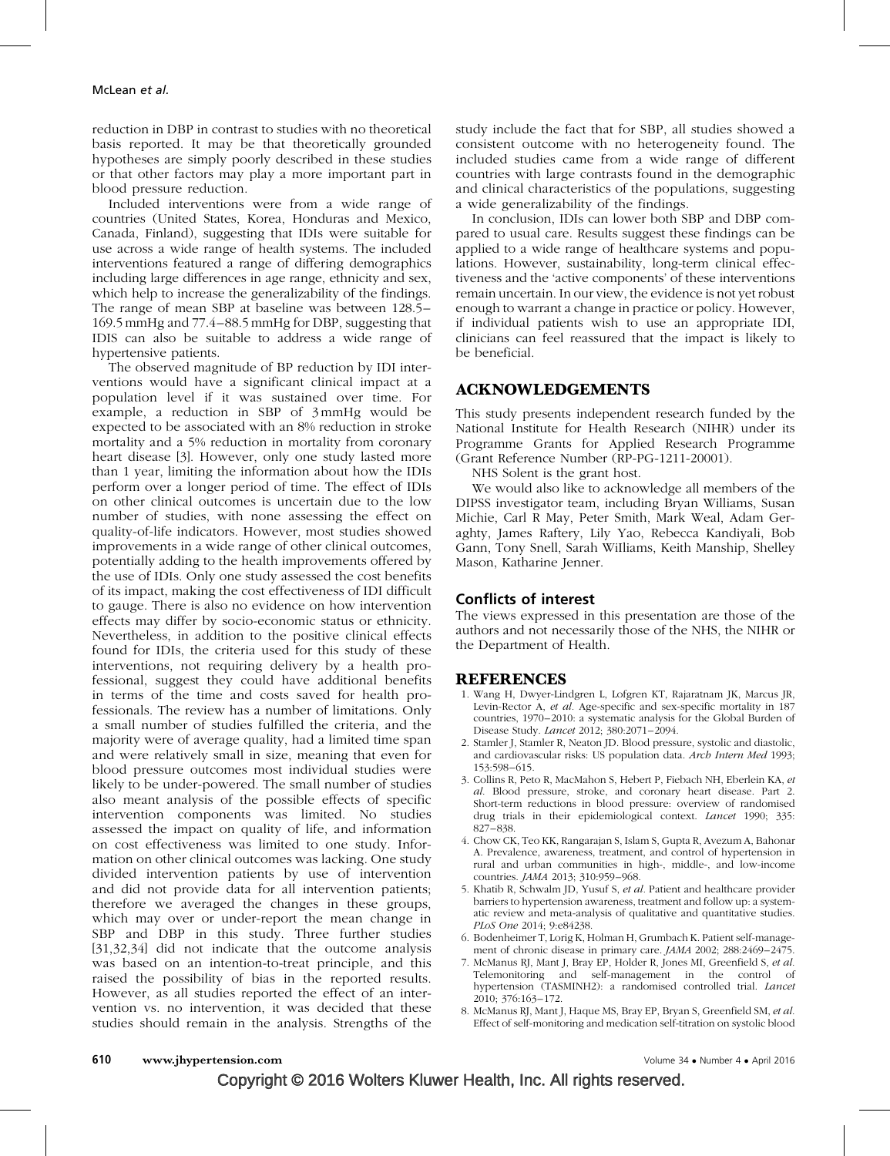<span id="page-10-0"></span>reduction in DBP in contrast to studies with no theoretical basis reported. It may be that theoretically grounded hypotheses are simply poorly described in these studies or that other factors may play a more important part in blood pressure reduction.

Included interventions were from a wide range of countries (United States, Korea, Honduras and Mexico, Canada, Finland), suggesting that IDIs were suitable for use across a wide range of health systems. The included interventions featured a range of differing demographics including large differences in age range, ethnicity and sex, which help to increase the generalizability of the findings. The range of mean SBP at baseline was between 128.5– 169.5 mmHg and 77.4–88.5 mmHg for DBP, suggesting that IDIS can also be suitable to address a wide range of hypertensive patients.

The observed magnitude of BP reduction by IDI interventions would have a significant clinical impact at a population level if it was sustained over time. For example, a reduction in SBP of 3 mmHg would be expected to be associated with an 8% reduction in stroke mortality and a 5% reduction in mortality from coronary heart disease [3]. However, only one study lasted more than 1 year, limiting the information about how the IDIs perform over a longer period of time. The effect of IDIs on other clinical outcomes is uncertain due to the low number of studies, with none assessing the effect on quality-of-life indicators. However, most studies showed improvements in a wide range of other clinical outcomes, potentially adding to the health improvements offered by the use of IDIs. Only one study assessed the cost benefits of its impact, making the cost effectiveness of IDI difficult to gauge. There is also no evidence on how intervention effects may differ by socio-economic status or ethnicity. Nevertheless, in addition to the positive clinical effects found for IDIs, the criteria used for this study of these interventions, not requiring delivery by a health professional, suggest they could have additional benefits in terms of the time and costs saved for health professionals. The review has a number of limitations. Only a small number of studies fulfilled the criteria, and the majority were of average quality, had a limited time span and were relatively small in size, meaning that even for blood pressure outcomes most individual studies were likely to be under-powered. The small number of studies also meant analysis of the possible effects of specific intervention components was limited. No studies assessed the impact on quality of life, and information on cost effectiveness was limited to one study. Information on other clinical outcomes was lacking. One study divided intervention patients by use of intervention and did not provide data for all intervention patients; therefore we averaged the changes in these groups, which may over or under-report the mean change in SBP and DBP in this study. Three further studies [\[31,32,34\]](#page-11-0) did not indicate that the outcome analysis was based on an intention-to-treat principle, and this raised the possibility of bias in the reported results. However, as all studies reported the effect of an intervention vs. no intervention, it was decided that these studies should remain in the analysis. Strengths of the

study include the fact that for SBP, all studies showed a consistent outcome with no heterogeneity found. The included studies came from a wide range of different countries with large contrasts found in the demographic and clinical characteristics of the populations, suggesting a wide generalizability of the findings.

In conclusion, IDIs can lower both SBP and DBP compared to usual care. Results suggest these findings can be applied to a wide range of healthcare systems and populations. However, sustainability, long-term clinical effectiveness and the 'active components' of these interventions remain uncertain. In our view, the evidence is not yet robust enough to warrant a change in practice or policy. However, if individual patients wish to use an appropriate IDI, clinicians can feel reassured that the impact is likely to be beneficial.

### ACKNOWLEDGEMENTS

This study presents independent research funded by the National Institute for Health Research (NIHR) under its Programme Grants for Applied Research Programme (Grant Reference Number (RP-PG-1211-20001).

NHS Solent is the grant host.

We would also like to acknowledge all members of the DIPSS investigator team, including Bryan Williams, Susan Michie, Carl R May, Peter Smith, Mark Weal, Adam Geraghty, James Raftery, Lily Yao, Rebecca Kandiyali, Bob Gann, Tony Snell, Sarah WiIliams, Keith Manship, Shelley Mason, Katharine Jenner.

### Conflicts of interest

The views expressed in this presentation are those of the authors and not necessarily those of the NHS, the NIHR or the Department of Health.

### REFERENCES

- 1. Wang H, Dwyer-Lindgren L, Lofgren KT, Rajaratnam JK, Marcus JR, Levin-Rector A, et al. Age-specific and sex-specific mortality in 187 countries, 1970–2010: a systematic analysis for the Global Burden of Disease Study. Lancet 2012; 380:2071–2094.
- 2. Stamler J, Stamler R, Neaton JD. Blood pressure, systolic and diastolic, and cardiovascular risks: US population data. Arch Intern Med 1993; 153:598–615.
- 3. Collins R, Peto R, MacMahon S, Hebert P, Fiebach NH, Eberlein KA, et al. Blood pressure, stroke, and coronary heart disease. Part 2. Short-term reductions in blood pressure: overview of randomised drug trials in their epidemiological context. Lancet 1990; 335: 827–838.
- 4. Chow CK, Teo KK, Rangarajan S, Islam S, Gupta R, Avezum A, Bahonar A. Prevalence, awareness, treatment, and control of hypertension in rural and urban communities in high-, middle-, and low-income countries. JAMA 2013; 310:959–968.
- 5. Khatib R, Schwalm JD, Yusuf S, et al. Patient and healthcare provider barriers to hypertension awareness, treatment and follow up: a systematic review and meta-analysis of qualitative and quantitative studies. PLoS One 2014; 9:e84238.
- 6. Bodenheimer T, Lorig K, Holman H, Grumbach K. Patient self-management of chronic disease in primary care. JAMA 2002; 288:2469–2475.
- 7. McManus RJ, Mant J, Bray EP, Holder R, Jones MI, Greenfield S, et al. Telemonitoring and self-management in the control of hypertension (TASMINH2): a randomised controlled trial. Lancet 2010; 376:163–172.
- 8. McManus RJ, Mant J, Haque MS, Bray EP, Bryan S, Greenfield SM, et al. Effect of self-monitoring and medication self-titration on systolic blood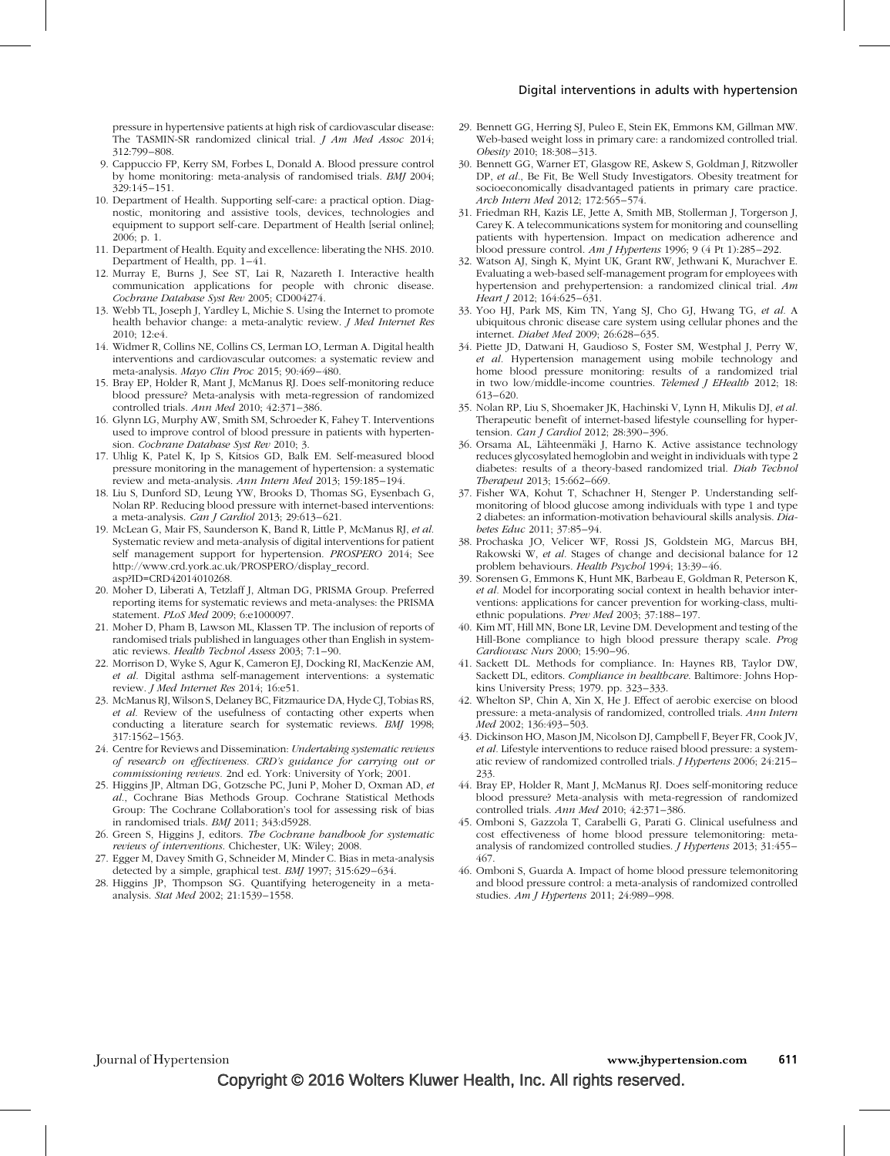<span id="page-11-0"></span>pressure in hypertensive patients at high risk of cardiovascular disease: The TASMIN-SR randomized clinical trial. *J Am Med Assoc* 2014; 312:799–808.

- 9. Cappuccio FP, Kerry SM, Forbes L, Donald A. Blood pressure control by home monitoring: meta-analysis of randomised trials. BMJ 2004; 329:145–151.
- 10. Department of Health. Supporting self-care: a practical option. Diagnostic, monitoring and assistive tools, devices, technologies and equipment to support self-care. Department of Health [serial online]; 2006; p. 1.
- 11. Department of Health. Equity and excellence: liberating the NHS. 2010. Department of Health, pp. 1–41.
- 12. Murray E, Burns J, See ST, Lai R, Nazareth I. Interactive health communication applications for people with chronic disease. Cochrane Database Syst Rev 2005; CD004274.
- 13. Webb TL, Joseph J, Yardley L, Michie S. Using the Internet to promote health behavior change: a meta-analytic review. J Med Internet Res 2010; 12:e4.
- 14. Widmer R, Collins NE, Collins CS, Lerman LO, Lerman A. Digital health interventions and cardiovascular outcomes: a systematic review and meta-analysis. Mayo Clin Proc 2015; 90:469–480.
- 15. Bray EP, Holder R, Mant J, McManus RJ. Does self-monitoring reduce blood pressure? Meta-analysis with meta-regression of randomized controlled trials. Ann Med 2010; 42:371–386.
- 16. Glynn LG, Murphy AW, Smith SM, Schroeder K, Fahey T. Interventions used to improve control of blood pressure in patients with hypertension. Cochrane Database Syst Rev 2010; 3.
- 17. Uhlig K, Patel K, Ip S, Kitsios GD, Balk EM. Self-measured blood pressure monitoring in the management of hypertension: a systematic review and meta-analysis. Ann Intern Med 2013; 159:185–194.
- 18. Liu S, Dunford SD, Leung YW, Brooks D, Thomas SG, Eysenbach G, Nolan RP. Reducing blood pressure with internet-based interventions: a meta-analysis. Can J Cardiol 2013; 29:613–621.
- 19. McLean G, Mair FS, Saunderson K, Band R, Little P, McManus RJ, et al. Systematic review and meta-analysis of digital interventions for patient self management support for hypertension. PROSPERO 2014; See [http://www.crd.york.ac.uk/PROSPERO/display\\_record.](http://www.crd.york.ac.uk/PROSPERO/display_record.asp?ID=CRD42014010268) [asp?ID=CRD42014010268](http://www.crd.york.ac.uk/PROSPERO/display_record.asp?ID=CRD42014010268).
- 20. Moher D, Liberati A, Tetzlaff J, Altman DG, PRISMA Group. Preferred reporting items for systematic reviews and meta-analyses: the PRISMA statement. PLoS Med 2009; 6:e1000097.
- 21. Moher D, Pham B, Lawson ML, Klassen TP. The inclusion of reports of randomised trials published in languages other than English in systematic reviews. Health Technol Assess 2003; 7:1–90.
- 22. Morrison D, Wyke S, Agur K, Cameron EJ, Docking RI, MacKenzie AM, et al. Digital asthma self-management interventions: a systematic review. J Med Internet Res 2014; 16:e51.
- 23. McManus RJ, Wilson S, Delaney BC, Fitzmaurice DA, Hyde CJ, Tobias RS, et al. Review of the usefulness of contacting other experts when conducting a literature search for systematic reviews. BMJ 1998; 317:1562–1563.
- 24. Centre for Reviews and Dissemination: Undertaking systematic reviews of research on effectiveness. CRD's guidance for carrying out or commissioning reviews. 2nd ed. York: University of York; 2001.
- 25. Higgins JP, Altman DG, Gotzsche PC, Juni P, Moher D, Oxman AD, et al., Cochrane Bias Methods Group. Cochrane Statistical Methods Group: The Cochrane Collaboration's tool for assessing risk of bias in randomised trials. BMJ 2011; 343:d5928.
- 26. Green S, Higgins J, editors. The Cochrane handbook for systematic reviews of interventions. Chichester, UK: Wiley; 2008.
- 27. Egger M, Davey Smith G, Schneider M, Minder C. Bias in meta-analysis detected by a simple, graphical test. BMJ 1997; 315:629–634.
- 28. Higgins JP, Thompson SG. Quantifying heterogeneity in a metaanalysis. Stat Med 2002; 21:1539–1558.
- 29. Bennett GG, Herring SJ, Puleo E, Stein EK, Emmons KM, Gillman MW. Web-based weight loss in primary care: a randomized controlled trial. Obesity 2010; 18:308–313.
- 30. Bennett GG, Warner ET, Glasgow RE, Askew S, Goldman J, Ritzwoller DP, et al., Be Fit, Be Well Study Investigators. Obesity treatment for socioeconomically disadvantaged patients in primary care practice. Arch Intern Med 2012; 172:565–574.
- 31. Friedman RH, Kazis LE, Jette A, Smith MB, Stollerman J, Torgerson J, Carey K. A telecommunications system for monitoring and counselling patients with hypertension. Impact on medication adherence and blood pressure control. Am J Hypertens 1996; 9 (4 Pt 1):285–292.
- 32. Watson AJ, Singh K, Myint UK, Grant RW, Jethwani K, Murachver E. Evaluating a web-based self-management program for employees with hypertension and prehypertension: a randomized clinical trial. Am Heart J 2012; 164:625-631.
- 33. Yoo HJ, Park MS, Kim TN, Yang SJ, Cho GJ, Hwang TG, et al. A ubiquitous chronic disease care system using cellular phones and the internet. Diabet Med 2009; 26:628–635.
- 34. Piette JD, Datwani H, Gaudioso S, Foster SM, Westphal J, Perry W, et al. Hypertension management using mobile technology and home blood pressure monitoring: results of a randomized trial in two low/middle-income countries. Telemed J EHealth 2012; 18: 613–620.
- 35. Nolan RP, Liu S, Shoemaker JK, Hachinski V, Lynn H, Mikulis DJ, et al. Therapeutic benefit of internet-based lifestyle counselling for hypertension. Can J Cardiol 2012; 28:390-396.
- 36. Orsama AL, Lähteenmäki J, Harno K. Active assistance technology reduces glycosylated hemoglobin and weight in individuals with type 2 diabetes: results of a theory-based randomized trial. Diab Technol Therapeut 2013; 15:662–669.
- 37. Fisher WA, Kohut T, Schachner H, Stenger P. Understanding selfmonitoring of blood glucose among individuals with type 1 and type 2 diabetes: an information-motivation behavioural skills analysis. Diabetes Educ 2011; 37:85–94.
- 38. Prochaska JO, Velicer WF, Rossi JS, Goldstein MG, Marcus BH, Rakowski W, et al. Stages of change and decisional balance for 12 problem behaviours. Health Psychol 1994; 13:39–46.
- 39. Sorensen G, Emmons K, Hunt MK, Barbeau E, Goldman R, Peterson K, et al. Model for incorporating social context in health behavior interventions: applications for cancer prevention for working-class, multiethnic populations. Prev Med 2003; 37:188–197.
- 40. Kim MT, Hill MN, Bone LR, Levine DM. Development and testing of the Hill-Bone compliance to high blood pressure therapy scale. Prog Cardiovasc Nurs 2000; 15:90–96.
- 41. Sackett DL. Methods for compliance. In: Haynes RB, Taylor DW, Sackett DL, editors. Compliance in healthcare. Baltimore: Johns Hopkins University Press; 1979. pp. 323–333.
- 42. Whelton SP, Chin A, Xin X, He J. Effect of aerobic exercise on blood pressure: a meta-analysis of randomized, controlled trials. Ann Intern Med 2002; 136:493–503.
- 43. Dickinson HO, Mason JM, Nicolson DJ, Campbell F, Beyer FR, Cook JV, et al. Lifestyle interventions to reduce raised blood pressure: a systematic review of randomized controlled trials. J Hypertens 2006; 24:215– 233.
- 44. Bray EP, Holder R, Mant J, McManus RJ. Does self-monitoring reduce blood pressure? Meta-analysis with meta-regression of randomized controlled trials. Ann Med 2010; 42:371–386.
- 45. Omboni S, Gazzola T, Carabelli G, Parati G. Clinical usefulness and cost effectiveness of home blood pressure telemonitoring: metaanalysis of randomized controlled studies. J Hypertens 2013; 31:455– 467.
- 46. Omboni S, Guarda A. Impact of home blood pressure telemonitoring and blood pressure control: a meta-analysis of randomized controlled studies. Am J Hypertens 2011; 24:989–998.